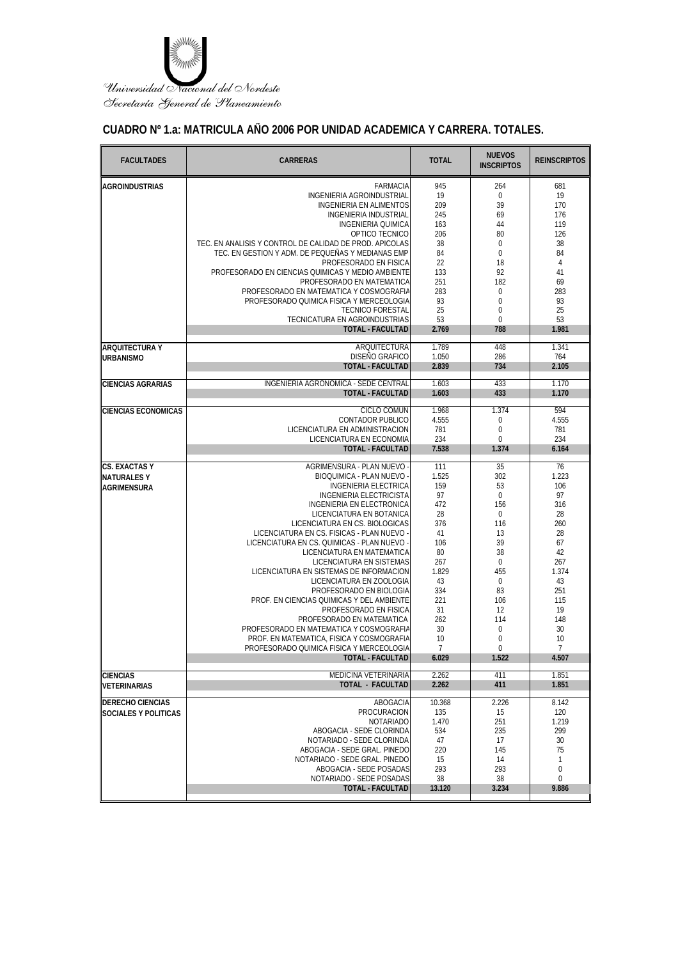

## **CUADRO Nº 1.a: MATRICULA AÑO 2006 POR UNIDAD ACADEMICA Y CARRERA. TOTALES.**

| <b>FACULTADES</b>                       | <b>CARRERAS</b>                                                            | <b>TOTAL</b>            | <b>NUEVOS</b><br><b>INSCRIPTOS</b> | <b>REINSCRIPTOS</b>     |
|-----------------------------------------|----------------------------------------------------------------------------|-------------------------|------------------------------------|-------------------------|
| <b>AGROINDUSTRIAS</b>                   | <b>FARMACIA</b>                                                            | 945                     | 264                                | 681                     |
|                                         | INGENIERIA AGROINDUSTRIAL                                                  | 19                      | $\bf{0}$                           | 19                      |
|                                         | <b>INGENIERIA EN ALIMENTOS</b>                                             | 209                     | 39                                 | 170                     |
|                                         | <b>INGENIERIA INDUSTRIAL</b>                                               | 245                     | 69                                 | 176                     |
|                                         | <b>INGENIERIA QUIMICA</b>                                                  | 163                     | 44                                 | 119                     |
|                                         | OPTICO TECNICO                                                             | 206                     | 80                                 | 126                     |
|                                         | TEC. EN ANALISIS Y CONTROL DE CALIDAD DE PROD. APICOLAS                    | 38                      | $\mathbf 0$                        | 38                      |
|                                         | TEC. EN GESTION Y ADM. DE PEQUEÑAS Y MEDIANAS EMP<br>PROFESORADO EN FISICA | 84<br>22                | $\mathbf 0$<br>18                  | 84<br>4                 |
|                                         | PROFESORADO EN CIENCIAS QUIMICAS Y MEDIO AMBIENTE                          | 133                     | 92                                 | 41                      |
|                                         | PROFESORADO EN MATEMATICA                                                  | 251                     | 182                                | 69                      |
|                                         | PROFESORADO EN MATEMATICA Y COSMOGRAFIA                                    | 283                     | $\boldsymbol{0}$                   | 283                     |
|                                         | PROFESORADO QUIMICA FISICA Y MERCEOLOGIA                                   | 93                      | $\boldsymbol{0}$                   | 93                      |
|                                         | <b>TECNICO FORESTAL</b>                                                    | 25                      | $\boldsymbol{0}$                   | 25                      |
|                                         | TECNICATURA EN AGROINDUSTRIAS                                              | 53                      | $\mathbf{0}$                       | 53                      |
|                                         | <b>TOTAL - FACULTAD</b>                                                    | 2.769                   | 788                                | 1.981                   |
| <b>ARQUITECTURA Y</b>                   | ARQUITECTURA                                                               | 1.789                   | 448                                | 1.341                   |
| <b>URBANISMO</b>                        | <b>DISEÑO GRAFICO</b>                                                      | 1.050                   | 286                                | 764                     |
|                                         | <b>TOTAL - FACULTAD</b>                                                    | 2.839                   | 734                                | 2.105                   |
| <b>CIENCIAS AGRARIAS</b>                | INGENIERIA AGRONOMICA - SEDE CENTRAL                                       | 1.603                   | 433                                | 1.170                   |
|                                         | <b>TOTAL - FACULTAD</b>                                                    | 1.603                   | 433                                | 1.170                   |
|                                         |                                                                            |                         |                                    |                         |
| <b>CIENCIAS ECONOMICAS</b>              | CICLO COMUN<br><b>CONTADOR PUBLICO</b>                                     | 1.968<br>4.555          | 1.374<br>0                         | 594<br>4.555            |
|                                         | LICENCIATURA EN ADMINISTRACION                                             | 781                     | $\mathbf 0$                        | 781                     |
|                                         | LICENCIATURA EN ECONOMIA                                                   | 234                     | $\boldsymbol{0}$                   | 234                     |
|                                         | <b>TOTAL - FACULTAD</b>                                                    | 7.538                   | 1.374                              | 6.164                   |
| <b>CS. EXACTAS Y</b>                    | AGRIMENSURA - PLAN NUEVO                                                   | 111                     | 35                                 | 76                      |
|                                         | BIOQUIMICA - PLAN NUEVO                                                    | 1.525                   | 302                                | 1.223                   |
| <b>NATURALESY</b><br><b>AGRIMENSURA</b> | <b>INGENIERIA ELECTRICA</b>                                                | 159                     | 53                                 | 106                     |
|                                         | <b>INGENIERIA ELECTRICISTA</b>                                             | 97                      | $\mathbf{0}$                       | 97                      |
|                                         | INGENIERIA EN ELECTRONICA                                                  | 472                     | 156                                | 316                     |
|                                         | LICENCIATURA EN BOTANICA                                                   | 28                      | $\bf{0}$                           | 28                      |
|                                         | LICENCIATURA EN CS. BIOLOGICAS                                             | 376                     | 116                                | 260                     |
|                                         | LICENCIATURA EN CS. FISICAS - PLAN NUEVO                                   | 41                      | 13                                 | 28                      |
|                                         | LICENCIATURA EN CS. QUIMICAS - PLAN NUEVO                                  | 106                     | 39                                 | 67                      |
|                                         | LICENCIATURA EN MATEMATICA                                                 | 80<br>267               | 38<br>$\mathbf 0$                  | 42                      |
|                                         | LICENCIATURA EN SISTEMAS<br>LICENCIATURA EN SISTEMAS DE INFORMACION        | 1.829                   | 455                                | 267<br>1.374            |
|                                         | LICENCIATURA EN ZOOLOGIA                                                   | 43                      | $\bf{0}$                           | 43                      |
|                                         | PROFESORADO EN BIOLOGIA                                                    | 334                     | 83                                 | 251                     |
|                                         | PROF. EN CIENCIAS QUIMICAS Y DEL AMBIENTE                                  | 221                     | 106                                | 115                     |
|                                         | PROFESORADO EN FISICA                                                      | 31                      | 12                                 | 19                      |
|                                         | PROFESORADO EN MATEMATICA                                                  | 262                     | 114                                | 148                     |
|                                         | PROFESORADO EN MATEMATICA Y COSMOGRAFIA                                    | 30                      | $\boldsymbol{0}$                   | 30                      |
|                                         | PROF. EN MATEMATICA, FISICA Y COSMOGRAFIA                                  | 10                      | $\boldsymbol{0}$                   | 10                      |
|                                         | PROFESORADO QUIMICA FISICA Y MERCEOLOGIA<br><b>TOTAL - FACULTAD</b>        | $\overline{7}$<br>6.029 | $\Omega$<br>1.522                  | $\overline{7}$<br>4.507 |
|                                         |                                                                            |                         |                                    |                         |
| <b>CIENCIAS</b>                         | MEDICINA VETERINARIA<br><b>TOTAL - FACULTAD</b>                            | 2.262                   | 411                                | 1.851                   |
| <b>VETERINARIAS</b>                     |                                                                            | 2.262                   | 411                                | 1.851                   |
| <b>DERECHO CIENCIAS</b>                 | ABOGACIA                                                                   | 10.368                  | 2.226                              | 8.142                   |
| <b>SOCIALES Y POLITICAS</b>             | PROCURACION                                                                | 135                     | 15                                 | 120                     |
|                                         | <b>NOTARIADO</b>                                                           | 1.470                   | 251                                | 1.219                   |
|                                         | ABOGACIA - SEDE CLORINDA                                                   | 534                     | 235                                | 299                     |
|                                         | NOTARIADO - SEDE CLORINDA<br>ABOGACIA - SEDE GRAL. PINEDO                  | 47<br>220               | 17<br>145                          | 30<br>75                |
|                                         | NOTARIADO - SEDE GRAL. PINEDO                                              | 15                      | 14                                 | $\mathbf{1}$            |
|                                         | ABOGACIA - SEDE POSADAS                                                    | 293                     | 293                                | $\boldsymbol{0}$        |
|                                         | NOTARIADO - SEDE POSADAS                                                   | 38                      | 38                                 | 0                       |
|                                         | <b>TOTAL - FACULTAD</b>                                                    | 13.120                  | 3.234                              | 9.886                   |
|                                         |                                                                            |                         |                                    |                         |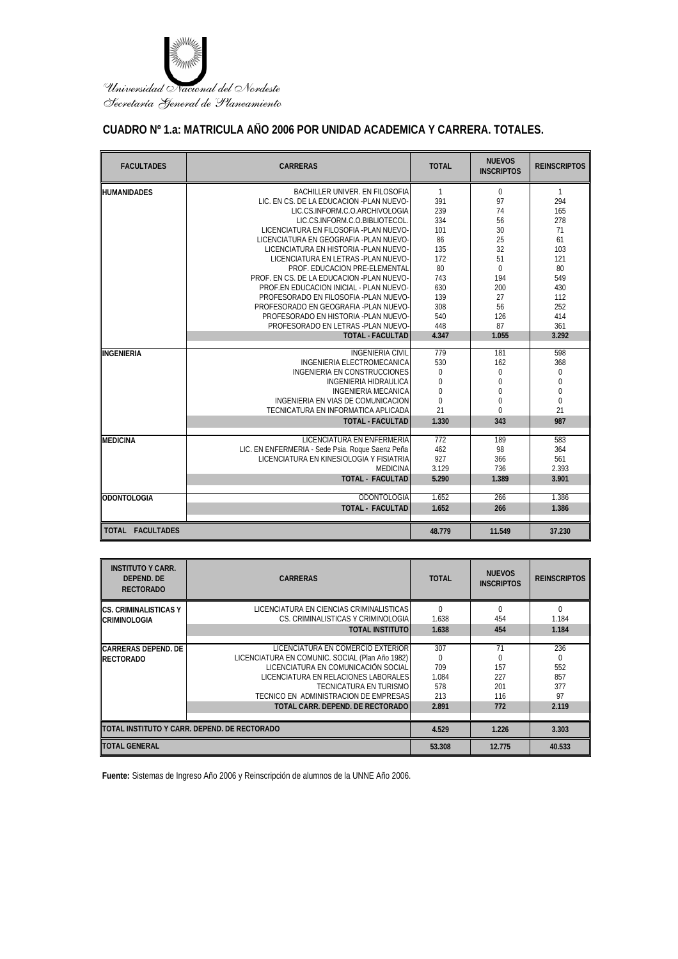

## **CUADRO Nº 1.a: MATRICULA AÑO 2006 POR UNIDAD ACADEMICA Y CARRERA. TOTALES.**

| <b>FACULTADES</b>  | <b>CARRERAS</b>                                  | <b>TOTAL</b>   | <b>NUEVOS</b><br><b>INSCRIPTOS</b> | <b>REINSCRIPTOS</b> |
|--------------------|--------------------------------------------------|----------------|------------------------------------|---------------------|
| <b>HUMANIDADES</b> | BACHILLER UNIVER. EN FILOSOFIA                   | $\mathbf{1}$   | $\mathbf 0$                        | $\mathbf{1}$        |
|                    | LIC. EN CS. DE LA EDUCACION -PLAN NUEVO-         | 391            | 97                                 | 294                 |
|                    | LIC.CS.INFORM.C.O.ARCHIVOLOGIA                   | 239            | 74                                 | 165                 |
|                    | LIC.CS.INFORM.C.O.BIBLIOTECOL.                   | 334            | 56                                 | 278                 |
|                    | LICENCIATURA EN FILOSOFIA -PLAN NUEVO-           | 101            | 30                                 | 71                  |
|                    | LICENCIATURA EN GEOGRAFIA -PLAN NUEVO-           | 86             | 25                                 | 61                  |
|                    | LICENCIATURA EN HISTORIA -PLAN NUEVO-            | 135            | 32                                 | 103                 |
|                    | LICENCIATURA EN LETRAS - PLAN NUEVO-             | 172            | 51                                 | 121                 |
|                    | PROF. EDUCACION PRE-ELEMENTAL                    | 80             | $\Omega$                           | 80                  |
|                    | PROF. EN CS. DE LA EDUCACION -PLAN NUEVO-        | 743            | 194                                | 549                 |
|                    | PROF.EN EDUCACION INICIAL - PLAN NUEVO-          | 630            | 200                                | 430                 |
|                    | PROFESORADO EN FILOSOFIA -PLAN NUEVO-            | 139            | 27                                 | 112                 |
|                    | PROFESORADO EN GEOGRAFIA -PLAN NUEVO-            | 308            | 56                                 | 252                 |
|                    | PROFESORADO EN HISTORIA -PI AN NUEVO-            | 540            | 126                                | 414                 |
|                    | PROFESORADO EN LETRAS -PLAN NUEVO-               | 448            | 87                                 | 361                 |
|                    | <b>TOTAL - FACULTAD</b>                          | 4.347          | 1.055                              | 3.292               |
| <b>INGENIERIA</b>  | <b>INGENIERIA CIVIL</b>                          | 779            | 181                                | 598                 |
|                    | INGENIERIA ELECTROMECANICA                       | 530            | 162                                | 368                 |
|                    | <b>INGENIERIA EN CONSTRUCCIONES</b>              | $\mathbf 0$    | $\mathbf 0$                        | 0                   |
|                    | INGENIERIA HIDRAULICA                            | 0              | $\Omega$                           | $\overline{0}$      |
|                    | <b>INGENIERIA MECANICA</b>                       | $\overline{0}$ | $\theta$                           | $\mathbf{0}$        |
|                    | INGENIERIA EN VIAS DE COMUNICACION               | $\overline{0}$ | $\mathbf 0$                        | $\mathbf 0$         |
|                    | TECNICATURA EN INFORMATICA API ICADA             | 21             | $\Omega$                           | 21                  |
|                    | <b>TOTAL - FACULTAD</b>                          | 1.330          | 343                                | 987                 |
|                    |                                                  |                |                                    |                     |
| <b>MEDICINA</b>    | LICENCIATURA EN ENFERMERIA                       | 772            | 189                                | 583                 |
|                    | LIC. EN ENFERMERIA - Sede Psia. Roque Saenz Peña | 462            | 98                                 | 364                 |
|                    | LICENCIATURA EN KINESIOLOGIA Y FISIATRIA         | 927            | 366                                | 561                 |
|                    | <b>MEDICINA</b>                                  | 3.129          | 736                                | 2.393               |
|                    | <b>TOTAL - FACULTAD</b>                          | 5.290          | 1.389                              | 3.901               |
| <b>ODONTOLOGIA</b> | ODONTOLOGIA                                      | 1.652          | 266                                | 1.386               |
|                    | <b>TOTAL - FACULTAD</b>                          | 1.652          | 266                                | 1.386               |
|                    |                                                  |                |                                    |                     |
| TOTAL FACULTADES   |                                                  | 48.779         | 11.549                             | 37.230              |

| <b>INSTITUTO Y CARR.</b><br>DEPEND, DE<br><b>RECTORADO</b> | <b>CARRERAS</b>                                 | <b>TOTAL</b> | <b>NUEVOS</b><br><b>INSCRIPTOS</b> | <b>REINSCRIPTOS</b> |
|------------------------------------------------------------|-------------------------------------------------|--------------|------------------------------------|---------------------|
| <b>ICS. CRIMINALISTICAS Y</b>                              | LICENCIATURA EN CIENCIAS CRIMINALISTICAS        | $\Omega$     |                                    | $\Omega$            |
| <b>CRIMINOLOGIA</b>                                        | CS. CRIMINALISTICAS Y CRIMINOLOGIA              | 1.638        | 454                                | 1.184               |
|                                                            | <b>TOTAL INSTITUTO</b>                          | 1.638        | 454                                | 1.184               |
|                                                            |                                                 |              |                                    |                     |
| <b>IICARRERAS DEPEND. DE</b>                               | LICENCIATURA EN COMERCIO EXTERIOR               | 307          | 71                                 | 236                 |
| <b>RECTORADO</b>                                           | LICENCIATURA EN COMUNIC. SOCIAL (Plan Año 1982) | $\Omega$     |                                    | $\Omega$            |
|                                                            | LICENCIATURA EN COMUNICACIÓN SOCIAL             | 709          | 157                                | 552                 |
|                                                            | LICENCIATURA EN RELACIONES LABORALES            | 1.084        | 227                                | 857                 |
|                                                            | TECNICATURA EN TURISMO                          | 578          | 201                                | 377                 |
|                                                            | TECNICO EN ADMINISTRACION DE EMPRESAS           | 213          | 116                                | 97                  |
|                                                            | TOTAL CARR. DEPEND. DE RECTORADO I              | 2.891        | 772                                | 2.119               |
|                                                            |                                                 |              |                                    |                     |
|                                                            | ITOTAL INSTITUTO Y CARR. DEPEND. DE RECTORADO   | 4.529        | 1.226                              | 3.303               |
| <b>ITOTAL GENERAL</b>                                      |                                                 | 53.308       | 12.775                             | 40.533              |

**Fuente:** Sistemas de Ingreso Año 2006 y Reinscripción de alumnos de la UNNE Año 2006.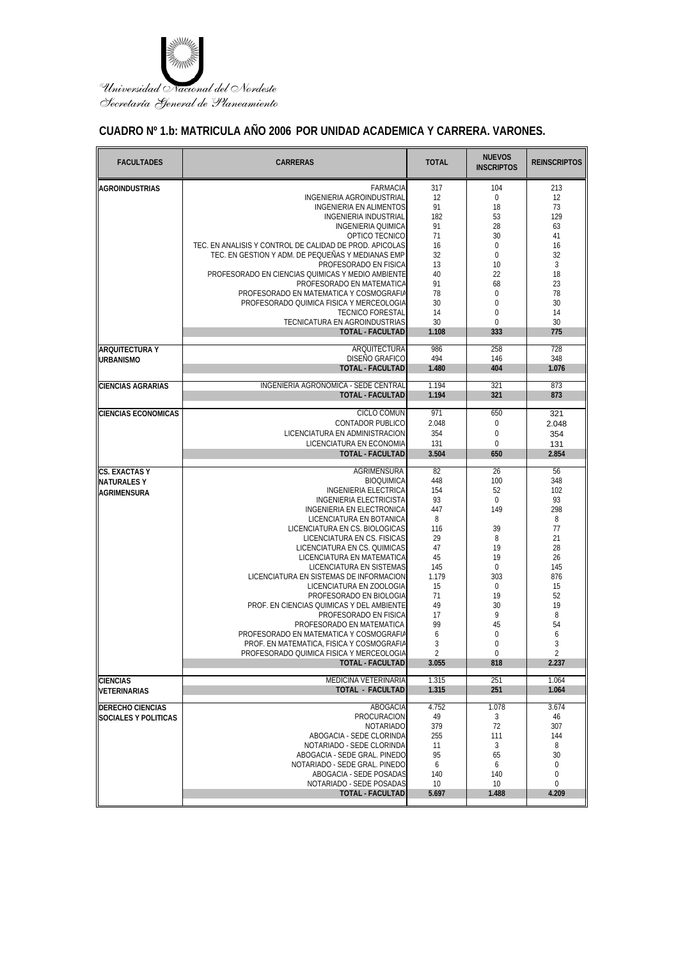

## **CUADRO Nº 1.b: MATRICULA AÑO 2006 POR UNIDAD ACADEMICA Y CARRERA. VARONES.**

| <b>FARMACIA</b><br>104<br>213<br>317<br><b>AGROINDUSTRIAS</b><br>INGENIERIA AGROINDUSTRIAL<br>12<br>$\pmb{0}$<br>12<br><b>INGENIERIA EN ALIMENTOS</b><br>91<br>18<br>73<br>182<br><b>INGENIERIA INDUSTRIAL</b><br>53<br>129<br>91<br>28<br>INGENIERIA QUIMICA<br>63<br>OPTICO TECNICO<br>71<br>30<br>41<br>TEC. EN ANALISIS Y CONTROL DE CALIDAD DE PROD. APICOLAS<br>$\boldsymbol{0}$<br>16<br>16<br>TEC. EN GESTION Y ADM. DE PEQUEÑAS Y MEDIANAS EMP<br>32<br>0<br>32<br>PROFESORADO EN FISICA<br>13<br>10<br>3<br>40<br>22<br>18<br>PROFESORADO EN CIENCIAS QUIMICAS Y MEDIO AMBIENTE<br>23<br>PROFESORADO EN MATEMATICA<br>91<br>68<br>PROFESORADO EN MATEMATICA Y COSMOGRAFIA<br>78<br>0<br>78<br>$\mathbf 0$<br>PROFESORADO QUIMICA FISICA Y MERCEOLOGIA<br>30<br>30<br><b>TECNICO FORESTAL</b><br>14<br>$\mathbf{0}$<br>14<br>$\boldsymbol{0}$<br>TECNICATURA EN AGROINDUSTRIAS<br>30<br>30<br><b>TOTAL - FACULTAD</b><br>333<br>775<br>1.108<br>ARQUITECTURA<br>258<br>986<br>728<br><b>ARQUITECTURA Y</b><br>DISEÑO GRAFICO<br>494<br>146<br>348<br><b>URBANISMO</b><br><b>TOTAL - FACULTAD</b><br>404<br>1.480<br>1.076<br>INGENIERIA AGRONOMICA - SEDE CENTRAL<br>1.194<br>321<br>873<br><b>CIENCIAS AGRARIAS</b><br><b>TOTAL - FACULTAD</b><br>321<br>1.194<br>873<br><b>CICLO COMUN</b><br>971<br>650<br><b>CIENCIAS ECONOMICAS</b><br>321<br><b>CONTADOR PUBLICO</b><br>2.048<br>0<br>2.048<br>LICENCIATURA EN ADMINISTRACION<br>354<br>$\boldsymbol{0}$<br>354 |
|--------------------------------------------------------------------------------------------------------------------------------------------------------------------------------------------------------------------------------------------------------------------------------------------------------------------------------------------------------------------------------------------------------------------------------------------------------------------------------------------------------------------------------------------------------------------------------------------------------------------------------------------------------------------------------------------------------------------------------------------------------------------------------------------------------------------------------------------------------------------------------------------------------------------------------------------------------------------------------------------------------------------------------------------------------------------------------------------------------------------------------------------------------------------------------------------------------------------------------------------------------------------------------------------------------------------------------------------------------------------------------------------------------------------------------------------------------------------------------|
|                                                                                                                                                                                                                                                                                                                                                                                                                                                                                                                                                                                                                                                                                                                                                                                                                                                                                                                                                                                                                                                                                                                                                                                                                                                                                                                                                                                                                                                                                |
|                                                                                                                                                                                                                                                                                                                                                                                                                                                                                                                                                                                                                                                                                                                                                                                                                                                                                                                                                                                                                                                                                                                                                                                                                                                                                                                                                                                                                                                                                |
|                                                                                                                                                                                                                                                                                                                                                                                                                                                                                                                                                                                                                                                                                                                                                                                                                                                                                                                                                                                                                                                                                                                                                                                                                                                                                                                                                                                                                                                                                |
|                                                                                                                                                                                                                                                                                                                                                                                                                                                                                                                                                                                                                                                                                                                                                                                                                                                                                                                                                                                                                                                                                                                                                                                                                                                                                                                                                                                                                                                                                |
|                                                                                                                                                                                                                                                                                                                                                                                                                                                                                                                                                                                                                                                                                                                                                                                                                                                                                                                                                                                                                                                                                                                                                                                                                                                                                                                                                                                                                                                                                |
|                                                                                                                                                                                                                                                                                                                                                                                                                                                                                                                                                                                                                                                                                                                                                                                                                                                                                                                                                                                                                                                                                                                                                                                                                                                                                                                                                                                                                                                                                |
|                                                                                                                                                                                                                                                                                                                                                                                                                                                                                                                                                                                                                                                                                                                                                                                                                                                                                                                                                                                                                                                                                                                                                                                                                                                                                                                                                                                                                                                                                |
|                                                                                                                                                                                                                                                                                                                                                                                                                                                                                                                                                                                                                                                                                                                                                                                                                                                                                                                                                                                                                                                                                                                                                                                                                                                                                                                                                                                                                                                                                |
|                                                                                                                                                                                                                                                                                                                                                                                                                                                                                                                                                                                                                                                                                                                                                                                                                                                                                                                                                                                                                                                                                                                                                                                                                                                                                                                                                                                                                                                                                |
|                                                                                                                                                                                                                                                                                                                                                                                                                                                                                                                                                                                                                                                                                                                                                                                                                                                                                                                                                                                                                                                                                                                                                                                                                                                                                                                                                                                                                                                                                |
|                                                                                                                                                                                                                                                                                                                                                                                                                                                                                                                                                                                                                                                                                                                                                                                                                                                                                                                                                                                                                                                                                                                                                                                                                                                                                                                                                                                                                                                                                |
|                                                                                                                                                                                                                                                                                                                                                                                                                                                                                                                                                                                                                                                                                                                                                                                                                                                                                                                                                                                                                                                                                                                                                                                                                                                                                                                                                                                                                                                                                |
|                                                                                                                                                                                                                                                                                                                                                                                                                                                                                                                                                                                                                                                                                                                                                                                                                                                                                                                                                                                                                                                                                                                                                                                                                                                                                                                                                                                                                                                                                |
|                                                                                                                                                                                                                                                                                                                                                                                                                                                                                                                                                                                                                                                                                                                                                                                                                                                                                                                                                                                                                                                                                                                                                                                                                                                                                                                                                                                                                                                                                |
|                                                                                                                                                                                                                                                                                                                                                                                                                                                                                                                                                                                                                                                                                                                                                                                                                                                                                                                                                                                                                                                                                                                                                                                                                                                                                                                                                                                                                                                                                |
|                                                                                                                                                                                                                                                                                                                                                                                                                                                                                                                                                                                                                                                                                                                                                                                                                                                                                                                                                                                                                                                                                                                                                                                                                                                                                                                                                                                                                                                                                |
|                                                                                                                                                                                                                                                                                                                                                                                                                                                                                                                                                                                                                                                                                                                                                                                                                                                                                                                                                                                                                                                                                                                                                                                                                                                                                                                                                                                                                                                                                |
|                                                                                                                                                                                                                                                                                                                                                                                                                                                                                                                                                                                                                                                                                                                                                                                                                                                                                                                                                                                                                                                                                                                                                                                                                                                                                                                                                                                                                                                                                |
|                                                                                                                                                                                                                                                                                                                                                                                                                                                                                                                                                                                                                                                                                                                                                                                                                                                                                                                                                                                                                                                                                                                                                                                                                                                                                                                                                                                                                                                                                |
|                                                                                                                                                                                                                                                                                                                                                                                                                                                                                                                                                                                                                                                                                                                                                                                                                                                                                                                                                                                                                                                                                                                                                                                                                                                                                                                                                                                                                                                                                |
|                                                                                                                                                                                                                                                                                                                                                                                                                                                                                                                                                                                                                                                                                                                                                                                                                                                                                                                                                                                                                                                                                                                                                                                                                                                                                                                                                                                                                                                                                |
|                                                                                                                                                                                                                                                                                                                                                                                                                                                                                                                                                                                                                                                                                                                                                                                                                                                                                                                                                                                                                                                                                                                                                                                                                                                                                                                                                                                                                                                                                |
| $\mathbf 0$<br>LICENCIATURA EN ECONOMIA<br>131<br>131                                                                                                                                                                                                                                                                                                                                                                                                                                                                                                                                                                                                                                                                                                                                                                                                                                                                                                                                                                                                                                                                                                                                                                                                                                                                                                                                                                                                                          |
| <b>TOTAL - FACULTAD</b><br>3.504<br>650<br>2.854                                                                                                                                                                                                                                                                                                                                                                                                                                                                                                                                                                                                                                                                                                                                                                                                                                                                                                                                                                                                                                                                                                                                                                                                                                                                                                                                                                                                                               |
| AGRIMENSURA<br>26<br><b>CS. EXACTAS Y</b><br>82<br>56                                                                                                                                                                                                                                                                                                                                                                                                                                                                                                                                                                                                                                                                                                                                                                                                                                                                                                                                                                                                                                                                                                                                                                                                                                                                                                                                                                                                                          |
| <b>BIOQUIMICA</b><br>448<br>100<br>348<br><b>NATURALES Y</b>                                                                                                                                                                                                                                                                                                                                                                                                                                                                                                                                                                                                                                                                                                                                                                                                                                                                                                                                                                                                                                                                                                                                                                                                                                                                                                                                                                                                                   |
| 52<br><b>INGENIERIA ELECTRICA</b><br>154<br>102<br><b>AGRIMENSURA</b><br><b>INGENIERIA ELECTRICISTA</b><br>93<br>93<br>$\mathbf 0$                                                                                                                                                                                                                                                                                                                                                                                                                                                                                                                                                                                                                                                                                                                                                                                                                                                                                                                                                                                                                                                                                                                                                                                                                                                                                                                                             |
| 149<br>298<br>INGENIERIA EN ELECTRONICA<br>447                                                                                                                                                                                                                                                                                                                                                                                                                                                                                                                                                                                                                                                                                                                                                                                                                                                                                                                                                                                                                                                                                                                                                                                                                                                                                                                                                                                                                                 |
| LICENCIATURA EN BOTANICA<br>8<br>8                                                                                                                                                                                                                                                                                                                                                                                                                                                                                                                                                                                                                                                                                                                                                                                                                                                                                                                                                                                                                                                                                                                                                                                                                                                                                                                                                                                                                                             |
| LICENCIATURA EN CS. BIOLOGICAS<br>39<br>77<br>116                                                                                                                                                                                                                                                                                                                                                                                                                                                                                                                                                                                                                                                                                                                                                                                                                                                                                                                                                                                                                                                                                                                                                                                                                                                                                                                                                                                                                              |
| LICENCIATURA EN CS. FISICAS<br>29<br>8<br>21                                                                                                                                                                                                                                                                                                                                                                                                                                                                                                                                                                                                                                                                                                                                                                                                                                                                                                                                                                                                                                                                                                                                                                                                                                                                                                                                                                                                                                   |
| LICENCIATURA EN CS. QUIMICAS<br>47<br>19<br>28                                                                                                                                                                                                                                                                                                                                                                                                                                                                                                                                                                                                                                                                                                                                                                                                                                                                                                                                                                                                                                                                                                                                                                                                                                                                                                                                                                                                                                 |
| 45<br>19<br>26<br>LICENCIATURA EN MATEMATICA<br>LICENCIATURA EN SISTEMAS<br>$\mathbf{0}$<br>145<br>145                                                                                                                                                                                                                                                                                                                                                                                                                                                                                                                                                                                                                                                                                                                                                                                                                                                                                                                                                                                                                                                                                                                                                                                                                                                                                                                                                                         |
| LICENCIATURA EN SISTEMAS DE INFORMACION<br>1.179<br>303<br>876                                                                                                                                                                                                                                                                                                                                                                                                                                                                                                                                                                                                                                                                                                                                                                                                                                                                                                                                                                                                                                                                                                                                                                                                                                                                                                                                                                                                                 |
| LICENCIATURA EN ZOOLOGIA<br>15<br>0<br>15                                                                                                                                                                                                                                                                                                                                                                                                                                                                                                                                                                                                                                                                                                                                                                                                                                                                                                                                                                                                                                                                                                                                                                                                                                                                                                                                                                                                                                      |
| PROFESORADO EN BIOLOGIA<br>19<br>52<br>71                                                                                                                                                                                                                                                                                                                                                                                                                                                                                                                                                                                                                                                                                                                                                                                                                                                                                                                                                                                                                                                                                                                                                                                                                                                                                                                                                                                                                                      |
| 19<br>49<br>30<br>PROF. EN CIENCIAS QUIMICAS Y DEL AMBIENTE                                                                                                                                                                                                                                                                                                                                                                                                                                                                                                                                                                                                                                                                                                                                                                                                                                                                                                                                                                                                                                                                                                                                                                                                                                                                                                                                                                                                                    |
| 9<br>8<br>PROFESORADO EN FISICA<br>17<br>99<br>PROFESORADO EN MATEMATICA                                                                                                                                                                                                                                                                                                                                                                                                                                                                                                                                                                                                                                                                                                                                                                                                                                                                                                                                                                                                                                                                                                                                                                                                                                                                                                                                                                                                       |
| 45<br>54<br>PROFESORADO EN MATEMATICA Y COSMOGRAFIA<br>6<br>$\mathbf 0$<br>6                                                                                                                                                                                                                                                                                                                                                                                                                                                                                                                                                                                                                                                                                                                                                                                                                                                                                                                                                                                                                                                                                                                                                                                                                                                                                                                                                                                                   |
| 3<br>3<br>PROF. EN MATEMATICA, FISICA Y COSMOGRAFIA<br>$\mathbf 0$                                                                                                                                                                                                                                                                                                                                                                                                                                                                                                                                                                                                                                                                                                                                                                                                                                                                                                                                                                                                                                                                                                                                                                                                                                                                                                                                                                                                             |
| $\overline{2}$<br>$\Omega$<br>$\overline{2}$<br>PROFESORADO QUIMICA FISICA Y MERCEOLOGIA                                                                                                                                                                                                                                                                                                                                                                                                                                                                                                                                                                                                                                                                                                                                                                                                                                                                                                                                                                                                                                                                                                                                                                                                                                                                                                                                                                                       |
| <b>TOTAL - FACULTAD</b><br>3.055<br>818<br>2.237                                                                                                                                                                                                                                                                                                                                                                                                                                                                                                                                                                                                                                                                                                                                                                                                                                                                                                                                                                                                                                                                                                                                                                                                                                                                                                                                                                                                                               |
| <b>MEDICINA VETERINARIA</b><br>251<br>1.064<br>1.315<br><b>CIENCIAS</b>                                                                                                                                                                                                                                                                                                                                                                                                                                                                                                                                                                                                                                                                                                                                                                                                                                                                                                                                                                                                                                                                                                                                                                                                                                                                                                                                                                                                        |
| <b>TOTAL - FACULTAD</b><br>1.315<br>251<br>1.064<br><b>VETERINARIAS</b>                                                                                                                                                                                                                                                                                                                                                                                                                                                                                                                                                                                                                                                                                                                                                                                                                                                                                                                                                                                                                                                                                                                                                                                                                                                                                                                                                                                                        |
| 4.752<br>1.078<br>ABOGACIA<br>3.674<br><b>DERECHO CIENCIAS</b>                                                                                                                                                                                                                                                                                                                                                                                                                                                                                                                                                                                                                                                                                                                                                                                                                                                                                                                                                                                                                                                                                                                                                                                                                                                                                                                                                                                                                 |
| <b>PROCURACION</b><br>49<br>3<br>46<br><b>SOCIALES Y POLITICAS</b>                                                                                                                                                                                                                                                                                                                                                                                                                                                                                                                                                                                                                                                                                                                                                                                                                                                                                                                                                                                                                                                                                                                                                                                                                                                                                                                                                                                                             |
| <b>NOTARIADO</b><br>379<br>72<br>307                                                                                                                                                                                                                                                                                                                                                                                                                                                                                                                                                                                                                                                                                                                                                                                                                                                                                                                                                                                                                                                                                                                                                                                                                                                                                                                                                                                                                                           |
| ABOGACIA - SEDE CLORINDA<br>255<br>111<br>144                                                                                                                                                                                                                                                                                                                                                                                                                                                                                                                                                                                                                                                                                                                                                                                                                                                                                                                                                                                                                                                                                                                                                                                                                                                                                                                                                                                                                                  |
| NOTARIADO - SEDE CLORINDA<br>3<br>8<br>11<br>ABOGACIA - SEDE GRAL. PINEDO<br>95<br>65<br>30                                                                                                                                                                                                                                                                                                                                                                                                                                                                                                                                                                                                                                                                                                                                                                                                                                                                                                                                                                                                                                                                                                                                                                                                                                                                                                                                                                                    |
| NOTARIADO - SEDE GRAL. PINEDO<br>6<br>$\pmb{0}$<br>6                                                                                                                                                                                                                                                                                                                                                                                                                                                                                                                                                                                                                                                                                                                                                                                                                                                                                                                                                                                                                                                                                                                                                                                                                                                                                                                                                                                                                           |
| ABOGACIA - SEDE POSADAS<br>140<br>140<br>0                                                                                                                                                                                                                                                                                                                                                                                                                                                                                                                                                                                                                                                                                                                                                                                                                                                                                                                                                                                                                                                                                                                                                                                                                                                                                                                                                                                                                                     |
| NOTARIADO - SEDE POSADAS<br>10<br>$\pmb{0}$<br>10                                                                                                                                                                                                                                                                                                                                                                                                                                                                                                                                                                                                                                                                                                                                                                                                                                                                                                                                                                                                                                                                                                                                                                                                                                                                                                                                                                                                                              |
| <b>TOTAL - FACULTAD</b><br>1.488<br>4.209<br>5.697                                                                                                                                                                                                                                                                                                                                                                                                                                                                                                                                                                                                                                                                                                                                                                                                                                                                                                                                                                                                                                                                                                                                                                                                                                                                                                                                                                                                                             |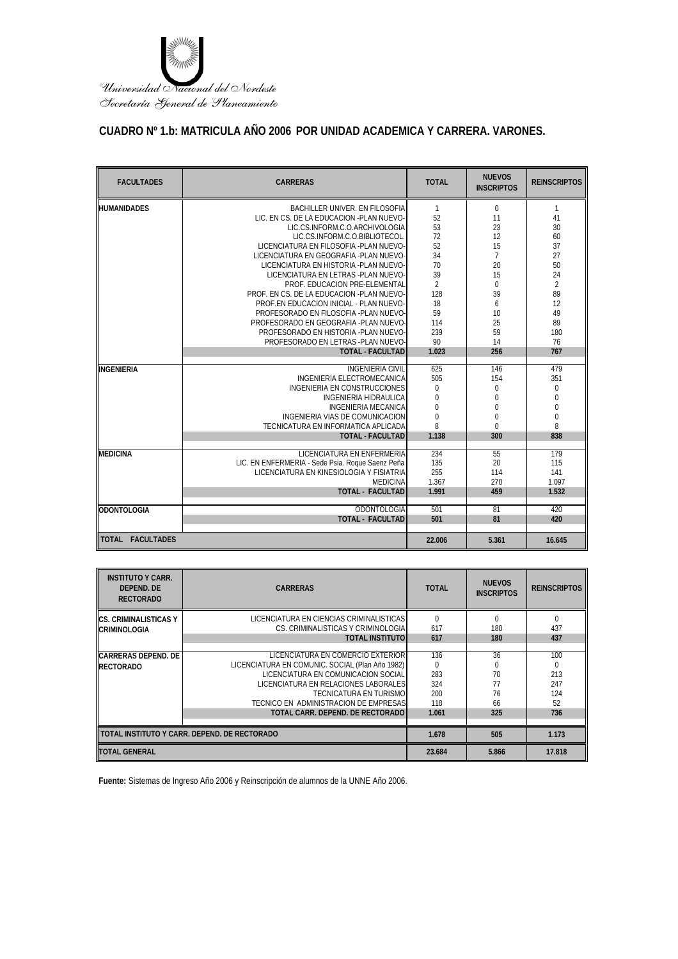

# **CUADRO Nº 1.b: MATRICULA AÑO 2006 POR UNIDAD ACADEMICA Y CARRERA. VARONES.**

| <b>FACULTADES</b>  | <b>CARRERAS</b>                                  | <b>TOTAL</b>     | <b>NUEVOS</b><br><b>INSCRIPTOS</b> | <b>REINSCRIPTOS</b> |
|--------------------|--------------------------------------------------|------------------|------------------------------------|---------------------|
| <b>HUMANIDADES</b> | BACHILLER UNIVER. EN FILOSOFIA                   | $\mathbf{1}$     | $\mathbf 0$                        | 1                   |
|                    | LIC. EN CS. DE LA EDUCACION -PLAN NUEVO-         | 52               | 11                                 | 41                  |
|                    | LIC.CS.INFORM.C.O.ARCHIVOLOGIA                   | 53               | 23                                 | 30                  |
|                    | LIC.CS.INFORM.C.O.BIBLIOTECOL                    | 72               | 12                                 | 60                  |
|                    | LICENCIATURA EN EILOSOFIA -PLAN NUEVO-           | 52               | 15                                 | 37                  |
|                    | LICENCIATURA EN GEOGRAFIA -PLAN NUEVO-           | 34               | $\overline{7}$                     | 27                  |
|                    | LICENCIATURA EN HISTORIA - PLAN NUEVO-           | 70               | 20                                 | 50                  |
|                    | LICENCIATURA EN LETRAS - PLAN NUEVO-             | 39               | 15                                 | 24                  |
|                    | PROF. EDUCACION PRE-ELEMENTAL                    | $\overline{2}$   | $\Omega$                           | $\overline{2}$      |
|                    | PROF. EN CS. DE LA EDUCACION -PLAN NUEVO-        | 128              | 39                                 | 89                  |
|                    | PROF.EN EDUCACION INICIAL - PLAN NUEVO-          | 18               | 6                                  | 12                  |
|                    | PROFESORADO EN FILOSOFIA -PLAN NUEVO-            | 59               | 10                                 | 49                  |
|                    | PROFESORADO EN GEOGRAFIA -PLAN NUEVO-            | 114              | 25                                 | 89                  |
|                    | PROFESORADO EN HISTORIA -PLAN NUEVO-             | 239              | 59                                 | 180                 |
|                    | PROFESORADO EN LETRAS -PLAN NUEVO-               | 90               | 14                                 | 76                  |
|                    | <b>TOTAL - FACULTAD</b>                          | 1.023            | 256                                | 767                 |
| INGENIERIA         | <b>INGENIERIA CIVIL</b>                          | 625              | 146                                | 479                 |
|                    | INGENIERIA ELECTROMECANICA                       | 505              | 154                                | 351                 |
|                    | <b>INGENIERIA EN CONSTRUCCIONES</b>              | 0                | $\mathbf 0$                        | 0                   |
|                    | INGENIERIA HIDRAULICA                            | $\boldsymbol{0}$ | $\overline{0}$                     | 0                   |
|                    | <b>INGENIERIA MECANICA</b>                       | 0                | $\mathbf 0$                        | $\boldsymbol{0}$    |
|                    | INGENIERIA VIAS DE COMUNICACION                  | $\overline{0}$   | $\overline{0}$                     | $\boldsymbol{0}$    |
|                    | TECNICATURA EN INFORMATICA APLICADA              | 8                | $\mathbf 0$                        | 8                   |
|                    | <b>TOTAL - FACULTAD</b>                          | 1.138            | 300                                | 838                 |
|                    |                                                  |                  |                                    |                     |
| <b>MEDICINA</b>    | LICENCIATURA EN ENFERMERIA                       | 234              | 55                                 | 179                 |
|                    | LIC. EN ENFERMERIA - Sede Psia. Roque Saenz Peña | 135              | 20                                 | 115                 |
|                    | LICENCIATURA EN KINESIOLOGIA Y FISIATRIA         | 255              | 114                                | 141                 |
|                    | <b>MEDICINA</b>                                  | 1.367            | 270                                | 1.097               |
|                    | <b>TOTAL - FACULTAD</b>                          | 1.991            | 459                                | 1.532               |
| <b>ODONTOLOGIA</b> | <b>ODONTOLOGIA</b>                               | 501              | 81                                 | 420                 |
|                    | <b>TOTAL - FACULTAD</b>                          | 501              | 81                                 | 420                 |
| TOTAL FACULTADES   |                                                  | 22.006           | 5.361                              | 16.645              |

| <b>INSTITUTO Y CARR.</b><br>DEPEND, DE<br><b>RECTORADO</b> | <b>CARRERAS</b>                                 | <b>TOTAL</b> | <b>NUEVOS</b><br><b>INSCRIPTOS</b> | <b>REINSCRIPTOS</b> |
|------------------------------------------------------------|-------------------------------------------------|--------------|------------------------------------|---------------------|
| ICS. CRIMINALISTICAS Y                                     | LICENCIATURA EN CIENCIAS CRIMINALISTICAS        | 0            |                                    | 0                   |
| <b>CRIMINOLOGIA</b>                                        | CS. CRIMINALISTICAS Y CRIMINOLOGIA              | 617          | 180                                | 437                 |
|                                                            | <b>TOTAL INSTITUTO</b>                          | 617          | 180                                | 437                 |
|                                                            |                                                 |              |                                    |                     |
| <b>CARRERAS DEPEND. DE</b>                                 | LICENCIATURA EN COMERCIO EXTERIOR               | 136          | 36                                 | 100                 |
| <b>RECTORADO</b>                                           | LICENCIATURA EN COMUNIC. SOCIAL (Plan Año 1982) | $\Omega$     |                                    | 0                   |
|                                                            | LICENCIATURA EN COMUNICACIÓN SOCIAL             | 283          | 70                                 | 213                 |
|                                                            | LICENCIATURA EN RELACIONES LABORALES            | 324          | 77                                 | 247                 |
|                                                            | <b>TECNICATURA EN TURISMO</b>                   | 200          | 76                                 | 124                 |
|                                                            | TECNICO EN ADMINISTRACION DE EMPRESASI          | 118          | 66                                 | 52                  |
|                                                            | TOTAL CARR. DEPEND. DE RECTORADO                | 1.061        | 325                                | 736                 |
|                                                            |                                                 |              |                                    |                     |
|                                                            | TOTAL INSTITUTO Y CARR. DEPEND. DE RECTORADO    | 1.678        | 505                                | 1.173               |
| <b>TOTAL GENERAL</b>                                       |                                                 | 23.684       | 5.866                              | 17.818              |

**Fuente:** Sistemas de Ingreso Año 2006 y Reinscripción de alumnos de la UNNE Año 2006.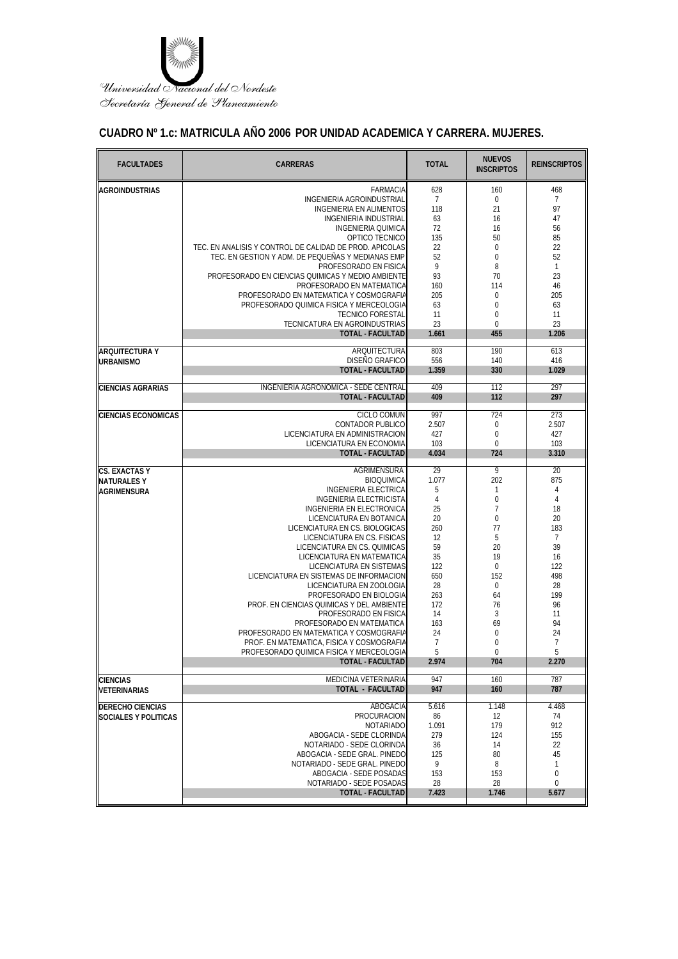

### **CUADRO Nº 1.c: MATRICULA AÑO 2006 POR UNIDAD ACADEMICA Y CARRERA. MUJERES.**

| <b>FACULTADES</b>          | <b>CARRERAS</b>                                                                     | <b>TOTAL</b>         | <b>NUEVOS</b><br><b>INSCRIPTOS</b> | <b>REINSCRIPTOS</b> |
|----------------------------|-------------------------------------------------------------------------------------|----------------------|------------------------------------|---------------------|
| <b>AGROINDUSTRIAS</b>      | <b>FARMACIA</b>                                                                     | 628                  | 160                                | 468                 |
|                            | INGENIERIA AGROINDUSTRIAL                                                           | $\overline{7}$       | $\boldsymbol{0}$                   | $\overline{7}$      |
|                            | INGENIERIA EN ALIMENTOS                                                             | 118                  | 21                                 | 97                  |
|                            | <b>INGENIERIA INDUSTRIAL</b>                                                        | 63                   | 16                                 | 47                  |
|                            | <b>INGENIERIA QUIMICA</b><br>OPTICO TECNICO                                         | 72<br>135            | 16<br>50                           | 56<br>85            |
|                            | TEC. EN ANALISIS Y CONTROL DE CALIDAD DE PROD. APICOLAS                             | 22                   | $\mathbf 0$                        | 22                  |
|                            | TEC. EN GESTION Y ADM. DE PEQUEÑAS Y MEDIANAS EMP                                   | 52                   | $\mathbf 0$                        | 52                  |
|                            | PROFESORADO EN FISICA                                                               | 9                    | 8                                  | $\mathbf{1}$        |
|                            | PROFESORADO EN CIENCIAS QUIMICAS Y MEDIO AMBIENTE                                   | 93                   | 70                                 | 23                  |
|                            | PROFESORADO EN MATEMATICA                                                           | 160                  | 114                                | 46                  |
|                            | PROFESORADO EN MATEMATICA Y COSMOGRAFIA<br>PROFESORADO QUIMICA FISICA Y MERCEOLOGIA | 205                  | $\mathbf 0$                        | 205                 |
|                            | <b>TECNICO FORESTAL</b>                                                             | 63<br>11             | $\mathbf 0$<br>$\mathbf 0$         | 63<br>11            |
|                            | TECNICATURA EN AGROINDUSTRIAS                                                       | 23                   | $\mathbf{0}$                       | 23                  |
|                            | <b>TOTAL - FACULTAD</b>                                                             | 1.661                | 455                                | 1.206               |
| ARQUITECTURA Y             | ARQUITECTURA                                                                        | 803                  | 190                                | 613                 |
| <b>URBANISMO</b>           | DISEÑO GRAFICO                                                                      | 556                  | 140                                | 416                 |
|                            | <b>TOTAL - FACULTAD</b>                                                             | 1.359                | 330                                | 1.029               |
| <b>CIENCIAS AGRARIAS</b>   | INGENIERIA AGRONOMICA - SEDE CENTRAL                                                | 409                  | 112                                | 297                 |
|                            | <b>TOTAL - FACULTAD</b>                                                             | 409                  | 112                                | 297                 |
| <b>CIENCIAS ECONOMICAS</b> | <b>CICLO COMUN</b>                                                                  | 997                  | 724                                | 273                 |
|                            | <b>CONTADOR PUBLICO</b>                                                             | 2.507                | $\mathbf 0$                        | 2.507               |
|                            | LICENCIATURA EN ADMINISTRACION                                                      | 427                  | $\mathbf 0$                        | 427                 |
|                            | LICENCIATURA EN ECONOMIA                                                            | 103                  | $\mathbf 0$                        | 103                 |
|                            | <b>TOTAL - FACULTAD</b>                                                             | 4.034                | 724                                | 3.310               |
| CS. EXACTAS Y              | AGRIMENSURA                                                                         | 29                   | 9                                  | 20                  |
| <b>NATURALESY</b>          | <b>BIOQUIMICA</b>                                                                   | 1.077                | 202                                | 875                 |
| <b>AGRIMENSURA</b>         | <b>INGENIERIA ELECTRICA</b>                                                         | 5                    | 1                                  | $\overline{4}$      |
|                            | <b>INGENIERIA ELECTRICISTA</b><br>INGENIERIA EN ELECTRONICA                         | $\overline{4}$<br>25 | $\boldsymbol{0}$<br>$\overline{7}$ | 4<br>18             |
|                            | LICENCIATURA EN BOTANICA                                                            | 20                   | $\mathbf 0$                        | 20                  |
|                            | LICENCIATURA EN CS. BIOLOGICAS                                                      | 260                  | 77                                 | 183                 |
|                            | LICENCIATURA EN CS. FISICAS                                                         | 12                   | 5                                  | $\overline{7}$      |
|                            | LICENCIATURA EN CS. QUIMICAS                                                        | 59                   | 20                                 | 39                  |
|                            | LICENCIATURA EN MATEMATICA                                                          | 35                   | 19                                 | 16                  |
|                            | LICENCIATURA EN SISTEMAS                                                            | 122                  | 0                                  | 122                 |
|                            | LICENCIATURA EN SISTEMAS DE INFORMACION                                             | 650                  | 152                                | 498                 |
|                            | LICENCIATURA EN ZOOLOGIA                                                            | 28                   | 0                                  | 28                  |
|                            | PROFESORADO EN BIOLOGIA                                                             | 263                  | 64                                 | 199                 |
|                            | PROF. EN CIENCIAS QUIMICAS Y DEL AMBIENTE<br>PROFESORADO EN FISICA                  | 172<br>14            | 76<br>3                            | 96<br>11            |
|                            | PROFESORADO EN MATEMATICA                                                           | 163                  | 69                                 | 94                  |
|                            | PROFESORADO EN MATEMATICA Y COSMOGRAFIA                                             | 24                   | $\mathbf 0$                        | 24                  |
|                            | PROF. EN MATEMATICA, FISICA Y COSMOGRAFIA                                           | $\overline{7}$       | 0                                  | $\overline{7}$      |
|                            | PROFESORADO QUIMICA FISICA Y MERCEOLOGIA                                            | 5                    | $\Omega$                           | 5                   |
|                            | TOTAL - FACULTAD                                                                    | 2.974                | 704                                | 2.270               |
| <b>CIENCIAS</b>            | <b>MEDICINA VETERINARIA</b>                                                         | 947                  | 160                                | 787                 |
| VETERINARIAS               | <b>TOTAL - FACULTAD</b>                                                             | 947                  | 160                                | 787                 |
| <b>DERECHO CIENCIAS</b>    | ABOGACIA                                                                            | 5.616                | 1.148                              | 4.468               |
| SOCIALES Y POLITICAS       | PROCURACION                                                                         | 86                   | 12                                 | 74                  |
|                            | <b>NOTARIADO</b>                                                                    | 1.091                | 179                                | 912                 |
|                            | ABOGACIA - SEDE CLORINDA                                                            | 279                  | 124                                | 155                 |
|                            | NOTARIADO - SEDE CLORINDA                                                           | 36                   | 14                                 | 22                  |
|                            | ABOGACIA - SEDE GRAL. PINEDO                                                        | 125                  | 80                                 | 45                  |
|                            | NOTARIADO - SEDE GRAL. PINEDO<br>ABOGACIA - SEDE POSADAS                            | 9                    | 8                                  | $\mathbf{1}$        |
|                            | NOTARIADO - SEDE POSADAS                                                            | 153<br>28            | 153<br>28                          | 0<br>$\mathbf 0$    |
|                            | <b>TOTAL - FACULTAD</b>                                                             | 7.423                | 1.746                              | 5.677               |
|                            |                                                                                     |                      |                                    |                     |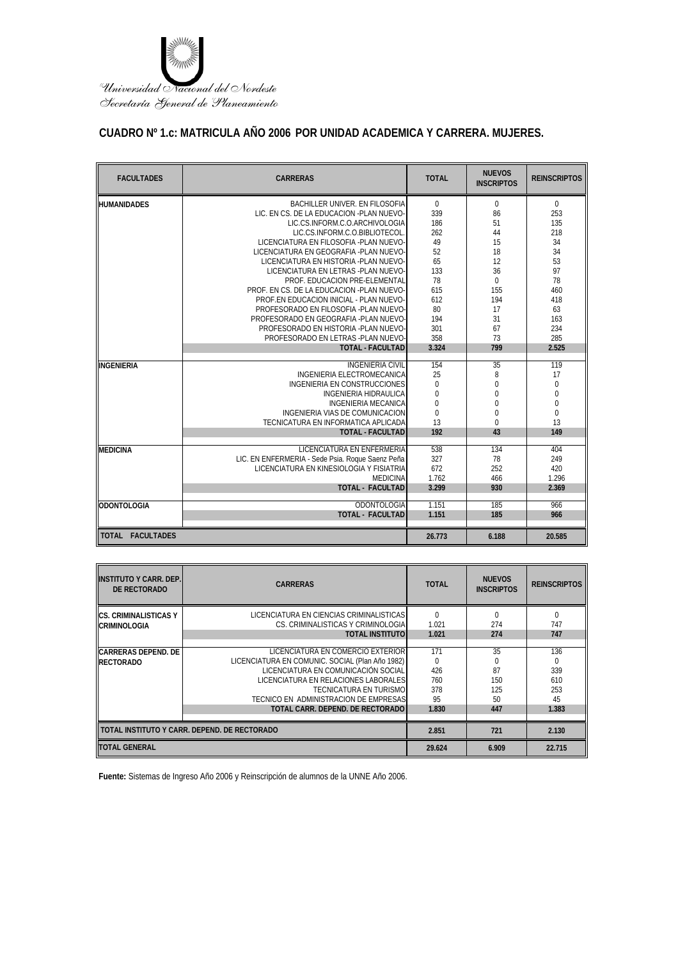

### **CUADRO Nº 1.c: MATRICULA AÑO 2006 POR UNIDAD ACADEMICA Y CARRERA. MUJERES.**

| <b>FACULTADES</b>  | <b>CARRERAS</b>                                  | <b>TOTAL</b>     | <b>NUEVOS</b><br><b>INSCRIPTOS</b> | <b>REINSCRIPTOS</b> |
|--------------------|--------------------------------------------------|------------------|------------------------------------|---------------------|
| HUMANIDADES        | BACHILLER UNIVER. EN FILOSOFIA                   | $\Omega$         | $\mathbf 0$                        | 0                   |
|                    | LIC. EN CS. DE LA EDUCACION -PLAN NUEVO-         | 339              | 86                                 | 253                 |
|                    | LIC.CS.INFORM.C.O.ARCHIVOLOGIA                   | 186              | 51                                 | 135                 |
|                    | LIC.CS.INFORM.C.O.BIBLIOTECOL                    | 262              | 44                                 | 218                 |
|                    | LICENCIATURA EN FILOSOFIA -PLAN NUEVO-           | 49               | 15                                 | 34                  |
|                    | LICENCIATURA EN GEOGRAFIA -PLAN NUEVO-           | 52               | 18                                 | 34                  |
|                    | LICENCIATURA EN HISTORIA - PLAN NUEVO-           | 65               | 12                                 | 53                  |
|                    | LICENCIATURA EN LETRAS - PLAN NUEVO-             | 133              | 36                                 | 97                  |
|                    | PROF. EDUCACION PRE-ELEMENTAL                    | 78               | $\Omega$                           | 78                  |
|                    | PROF. EN CS. DE LA EDUCACION -PLAN NUEVO-        | 615              | 155                                | 460                 |
|                    | PROF.EN EDUCACION INICIAL - PLAN NUEVO-          | 612              | 194                                | 418                 |
|                    | PROFESORADO EN FILOSOFIA -PLAN NUEVO-            | 80               | 17                                 | 63                  |
|                    | PROFESORADO EN GEOGRAFIA -PLAN NUEVO-            | 194              | 31                                 | 163                 |
|                    | PROFESORADO EN HISTORIA - PLAN NUEVO-            | 301              | 67                                 | 234                 |
|                    | PROFESORADO EN LETRAS -PLAN NUEVO-               | 358              | 73                                 | 285                 |
|                    | <b>TOTAL - FACULTAD</b>                          | 3.324            | 799                                | 2.525               |
| <b>INGENIERIA</b>  | <b>INGENIERIA CIVIL</b>                          | 154              | 35                                 | 119                 |
|                    | <b>INGENIERIA ELECTROMECANICA</b>                | 25               | 8                                  | 17                  |
|                    | <b>INGENIERIA EN CONSTRUCCIONES</b>              | $\mathbf 0$      | $\overline{0}$                     | $\boldsymbol{0}$    |
|                    | <b>INGENIERIA HIDRAULICA</b>                     | $\boldsymbol{0}$ | $\mathbf 0$                        | $\pmb{0}$           |
|                    | <b>INGENIERIA MECANICA</b>                       | $\overline{0}$   | $\mathbf{0}$                       | $\mathbf 0$         |
|                    | INGENIERIA VIAS DE COMUNICACION                  | $\Omega$         | $\overline{0}$                     | $\boldsymbol{0}$    |
|                    | TECNICATURA EN INFORMATICA APLICADA              | 13               | $\Omega$                           | 13                  |
|                    | <b>TOTAL - FACULTAD</b>                          | 192              | 43                                 | 149                 |
| <b>MEDICINA</b>    | <b>LICENCIATURA EN ENFERMERIA</b>                | 538              | 134                                | 404                 |
|                    | LIC. EN ENFERMERIA - Sede Psia. Roque Saenz Peña | 327              | 78                                 | 249                 |
|                    | LICENCIATURA EN KINESIOLOGIA Y FISIATRIA         | 672              | 252                                | 420                 |
|                    | <b>MEDICINA</b>                                  | 1.762            | 466                                | 1.296               |
|                    | <b>TOTAL - FACULTAD</b>                          | 3.299            | 930                                | 2.369               |
|                    |                                                  |                  |                                    |                     |
| <b>ODONTOLOGIA</b> | ODONTOLOGIA                                      | 1.151            | 185                                | 966                 |
|                    | <b>TOTAL - FACULTAD</b>                          | 1.151            | 185                                | 966                 |
| TOTAL FACULTADES   |                                                  | 26.773           | 6.188                              | 20.585              |

| <b>INSTITUTO Y CARR. DEP.</b><br>DE RECTORADO | <b>CARRERAS</b>                                 | <b>TOTAL</b> | <b>NUEVOS</b><br><b>INSCRIPTOS</b> | <b>REINSCRIPTOS</b> |
|-----------------------------------------------|-------------------------------------------------|--------------|------------------------------------|---------------------|
| ICS. CRIMINALISTICAS Y                        | LICENCIATURA EN CIENCIAS CRIMINALISTICAS        | $\Omega$     |                                    | $\Omega$            |
| <b>CRIMINOLOGIA</b>                           | CS. CRIMINALISTICAS Y CRIMINOLOGIA              | 1.021        | 274                                | 747                 |
|                                               | <b>TOTAL INSTITUTO</b>                          | 1.021        | 274                                | 747                 |
|                                               |                                                 |              |                                    |                     |
| <b>CARRERAS DEPEND. DE</b>                    | LICENCIATURA EN COMERCIO EXTERIOR               | 171          | 35                                 | 136                 |
| <b>RECTORADO</b>                              | LICENCIATURA EN COMUNIC. SOCIAL (Plan Año 1982) | 0            |                                    | 0                   |
|                                               | LICENCIATURA EN COMUNICACIÓN SOCIAL             | 426          | 87                                 | 339                 |
|                                               | LICENCIATURA EN RELACIONES LABORALES            | 760          | 150                                | 610                 |
|                                               | TECNICATURA EN TURISMO                          | 378          | 125                                | 253                 |
|                                               | TECNICO EN ADMINISTRACION DE EMPRESAS           | 95           | 50                                 | 45                  |
|                                               | TOTAL CARR. DEPEND. DE RECTORADO                | 1.830        | 447                                | 1.383               |
|                                               |                                                 |              |                                    |                     |
| TOTAL INSTITUTO Y CARR. DEPEND. DE RECTORADO  |                                                 | 2.851        | 721                                | 2.130               |
| <b>TOTAL GENERAL</b>                          |                                                 | 29.624       | 6.909                              | 22.715              |

**Fuente:** Sistemas de Ingreso Año 2006 y Reinscripción de alumnos de la UNNE Año 2006.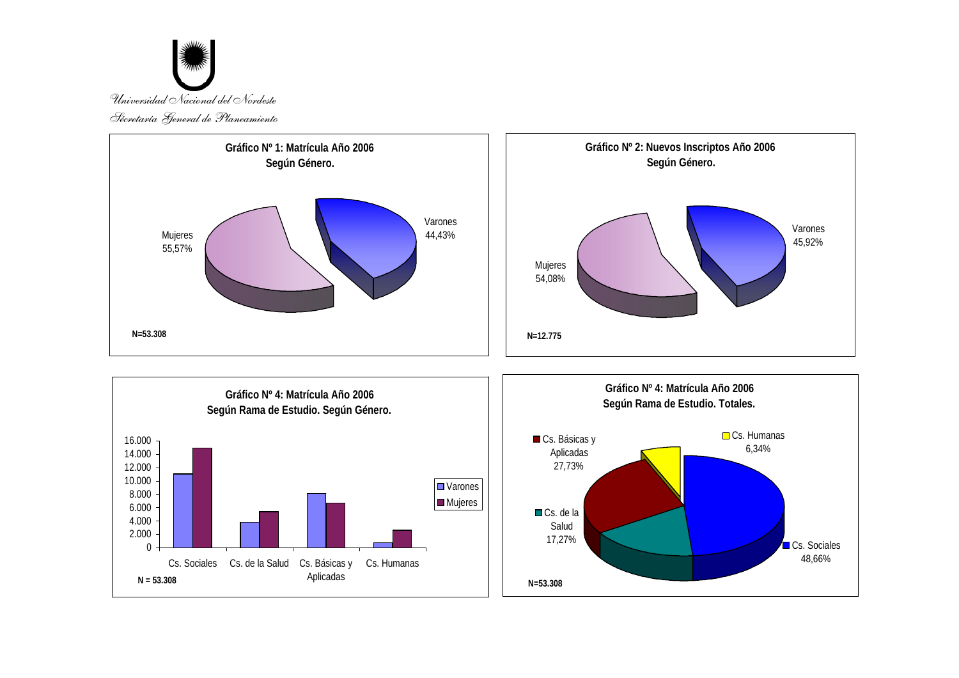